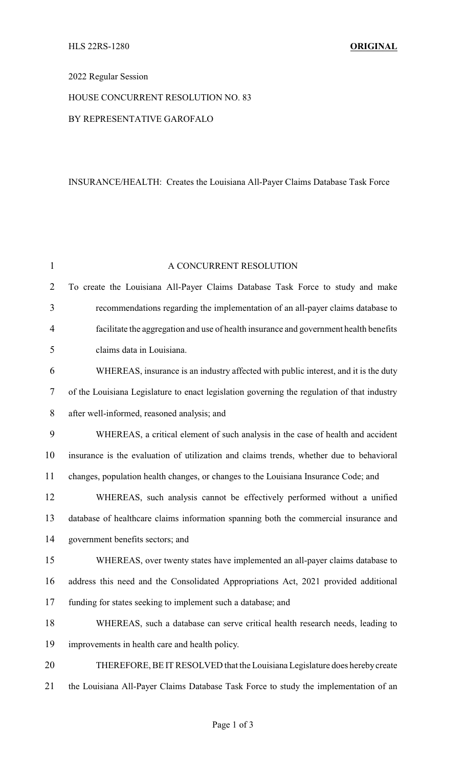## 2022 Regular Session

## HOUSE CONCURRENT RESOLUTION NO. 83

## BY REPRESENTATIVE GAROFALO

# INSURANCE/HEALTH: Creates the Louisiana All-Payer Claims Database Task Force

| $\mathbf{1}$   | A CONCURRENT RESOLUTION                                                                     |
|----------------|---------------------------------------------------------------------------------------------|
| $\overline{2}$ | To create the Louisiana All-Payer Claims Database Task Force to study and make              |
| 3              | recommendations regarding the implementation of an all-payer claims database to             |
| 4              | facilitate the aggregation and use of health insurance and government health benefits       |
| 5              | claims data in Louisiana.                                                                   |
| 6              | WHEREAS, insurance is an industry affected with public interest, and it is the duty         |
| 7              | of the Louisiana Legislature to enact legislation governing the regulation of that industry |
| 8              | after well-informed, reasoned analysis; and                                                 |
| 9              | WHEREAS, a critical element of such analysis in the case of health and accident             |
| 10             | insurance is the evaluation of utilization and claims trends, whether due to behavioral     |
| 11             | changes, population health changes, or changes to the Louisiana Insurance Code; and         |
| 12             | WHEREAS, such analysis cannot be effectively performed without a unified                    |
| 13             | database of healthcare claims information spanning both the commercial insurance and        |
| 14             | government benefits sectors; and                                                            |
| 15             | WHEREAS, over twenty states have implemented an all-payer claims database to                |
| 16             | address this need and the Consolidated Appropriations Act, 2021 provided additional         |
| 17             | funding for states seeking to implement such a database; and                                |
| 18             | WHEREAS, such a database can serve critical health research needs, leading to               |
| 19             | improvements in health care and health policy.                                              |
| 20             | THEREFORE, BE IT RESOLVED that the Louisiana Legislature does hereby create                 |
| 21             | the Louisiana All-Payer Claims Database Task Force to study the implementation of an        |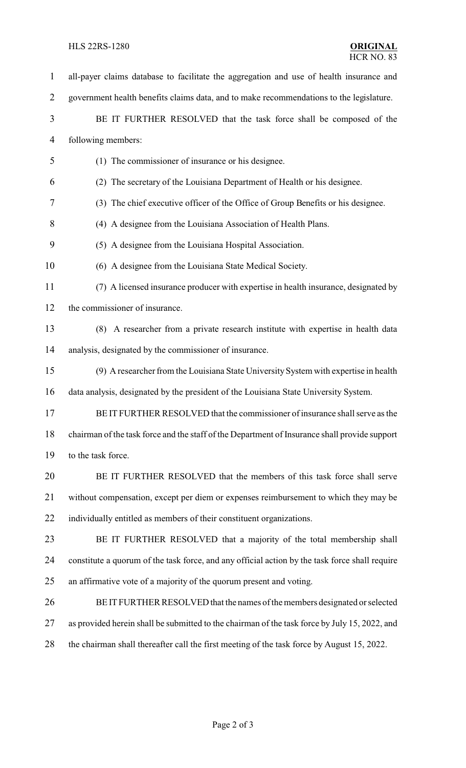### HLS 22RS-1280 **ORIGINAL**

 all-payer claims database to facilitate the aggregation and use of health insurance and government health benefits claims data, and to make recommendations to the legislature. BE IT FURTHER RESOLVED that the task force shall be composed of the following members: (1) The commissioner of insurance or his designee. (2) The secretary of the Louisiana Department of Health or his designee. (3) The chief executive officer of the Office of Group Benefits or his designee. (4) A designee from the Louisiana Association of Health Plans. (5) A designee from the Louisiana Hospital Association. (6) A designee from the Louisiana State Medical Society. (7) A licensed insurance producer with expertise in health insurance, designated by the commissioner of insurance. (8) A researcher from a private research institute with expertise in health data analysis, designated by the commissioner of insurance. (9) A researcher from the Louisiana State UniversitySystem with expertise in health data analysis, designated by the president of the Louisiana State University System. BE IT FURTHER RESOLVED that the commissioner of insurance shall serve as the chairman of the task force and the staff of the Department of Insurance shall provide support to the task force. BE IT FURTHER RESOLVED that the members of this task force shall serve without compensation, except per diem or expenses reimbursement to which they may be individually entitled as members of their constituent organizations. BE IT FURTHER RESOLVED that a majority of the total membership shall constitute a quorum of the task force, and any official action by the task force shall require an affirmative vote of a majority of the quorum present and voting. BE IT FURTHER RESOLVED that the names of the members designated or selected as provided herein shall be submitted to the chairman of the task force by July 15, 2022, and the chairman shall thereafter call the first meeting of the task force by August 15, 2022.